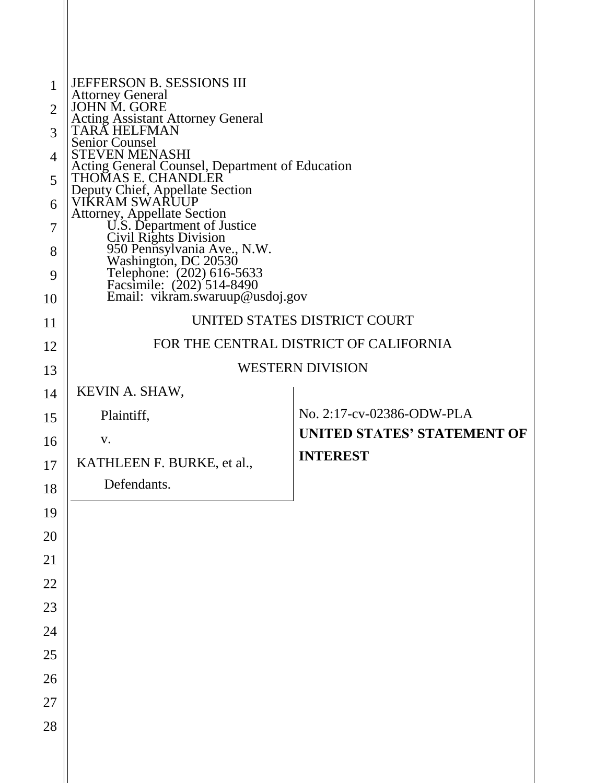| $\mathbf{1}$<br>$\overline{2}$<br>3<br>4<br>5<br>6<br>7<br>8<br>9<br>10 | JEFFERSON B. SESSIONS III<br>Attorney General<br>JOHN M. GORE<br><b>Acting Assistant Attorney General TARA HELFMAN</b><br>Senior Counsel<br><b>STEVEN MENASHI</b><br>Acting General Counsel, Department of Education<br>THOMAS E. CHANDLER<br>Deputy Chief, Appellate Section<br>VIKRAM SWARUUP<br>VINNAM SWANCOF<br>Attorney, Appellate Section<br>U.S. Department of Justice<br>Civil Rights Division<br>950 Pennsylvania Ave., N.W.<br>Washington, DC 20530<br>Telephone: (202) 616-5633<br>Facsimile: (202) 514-8490<br>Email: vikram.swaruup@usdoj.g |                             |  |
|-------------------------------------------------------------------------|-----------------------------------------------------------------------------------------------------------------------------------------------------------------------------------------------------------------------------------------------------------------------------------------------------------------------------------------------------------------------------------------------------------------------------------------------------------------------------------------------------------------------------------------------------------|-----------------------------|--|
| 11                                                                      | UNITED STATES DISTRICT COURT                                                                                                                                                                                                                                                                                                                                                                                                                                                                                                                              |                             |  |
| 12                                                                      | FOR THE CENTRAL DISTRICT OF CALIFORNIA                                                                                                                                                                                                                                                                                                                                                                                                                                                                                                                    |                             |  |
| 13                                                                      | <b>WESTERN DIVISION</b>                                                                                                                                                                                                                                                                                                                                                                                                                                                                                                                                   |                             |  |
| 14                                                                      | KEVIN A. SHAW,                                                                                                                                                                                                                                                                                                                                                                                                                                                                                                                                            |                             |  |
| 15                                                                      | Plaintiff,                                                                                                                                                                                                                                                                                                                                                                                                                                                                                                                                                | No. 2:17-cv-02386-ODW-PLA   |  |
| 16                                                                      | V.                                                                                                                                                                                                                                                                                                                                                                                                                                                                                                                                                        | UNITED STATES' STATEMENT OF |  |
| 17                                                                      | KATHLEEN F. BURKE, et al.,                                                                                                                                                                                                                                                                                                                                                                                                                                                                                                                                | <b>INTEREST</b>             |  |
| 18                                                                      | Defendants.                                                                                                                                                                                                                                                                                                                                                                                                                                                                                                                                               |                             |  |
| 19                                                                      |                                                                                                                                                                                                                                                                                                                                                                                                                                                                                                                                                           |                             |  |
| 20                                                                      |                                                                                                                                                                                                                                                                                                                                                                                                                                                                                                                                                           |                             |  |
| 21                                                                      |                                                                                                                                                                                                                                                                                                                                                                                                                                                                                                                                                           |                             |  |
| 22                                                                      |                                                                                                                                                                                                                                                                                                                                                                                                                                                                                                                                                           |                             |  |
| 23                                                                      |                                                                                                                                                                                                                                                                                                                                                                                                                                                                                                                                                           |                             |  |
| 24                                                                      |                                                                                                                                                                                                                                                                                                                                                                                                                                                                                                                                                           |                             |  |
| 25                                                                      |                                                                                                                                                                                                                                                                                                                                                                                                                                                                                                                                                           |                             |  |
| 26                                                                      |                                                                                                                                                                                                                                                                                                                                                                                                                                                                                                                                                           |                             |  |
| 27                                                                      |                                                                                                                                                                                                                                                                                                                                                                                                                                                                                                                                                           |                             |  |
| 28                                                                      |                                                                                                                                                                                                                                                                                                                                                                                                                                                                                                                                                           |                             |  |
|                                                                         |                                                                                                                                                                                                                                                                                                                                                                                                                                                                                                                                                           |                             |  |
|                                                                         |                                                                                                                                                                                                                                                                                                                                                                                                                                                                                                                                                           |                             |  |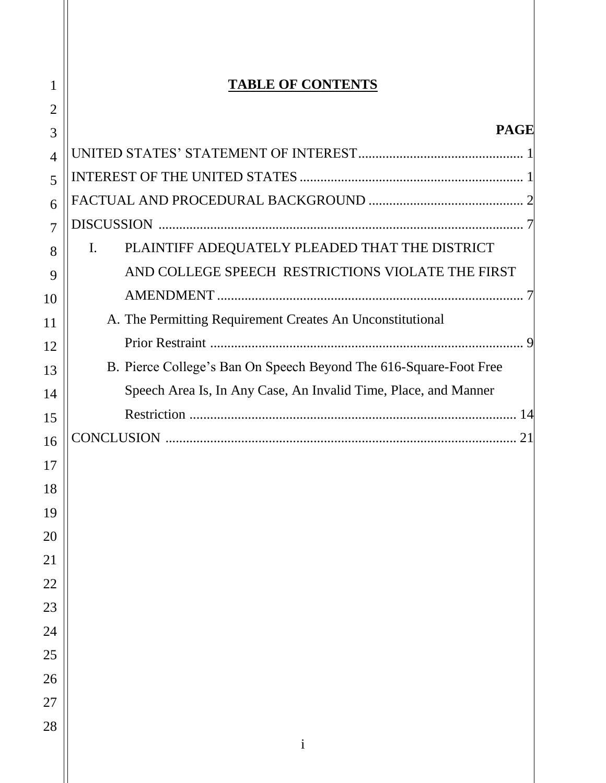# **TABLE OF CONTENTS**

| <b>PAGE</b>                                                       |
|-------------------------------------------------------------------|
|                                                                   |
|                                                                   |
|                                                                   |
|                                                                   |
| PLAINTIFF ADEQUATELY PLEADED THAT THE DISTRICT<br>I.              |
| AND COLLEGE SPEECH RESTRICTIONS VIOLATE THE FIRST                 |
|                                                                   |
| A. The Permitting Requirement Creates An Unconstitutional         |
| $\mathbf Q$                                                       |
| B. Pierce College's Ban On Speech Beyond The 616-Square-Foot Free |
| Speech Area Is, In Any Case, An Invalid Time, Place, and Manner   |
|                                                                   |
|                                                                   |
|                                                                   |
|                                                                   |

<span id="page-1-0"></span>

| $\overline{\phantom{a}}$ |
|--------------------------|
| 2                        |
| 3                        |
| $\overline{\mathbf{1}}$  |
| 5                        |
| 6                        |
| $\overline{7}$           |
| 8                        |
| 9                        |
| 10                       |
| 11                       |
| 12                       |
| 13                       |
| 14                       |
| 15                       |
| 16                       |
| 17                       |
| 18                       |
| 19                       |
| 20                       |
| $\overline{21}$          |
| 22                       |
| 23                       |
| 24                       |
| 25                       |
| 26                       |
| 27                       |
| 28                       |
|                          |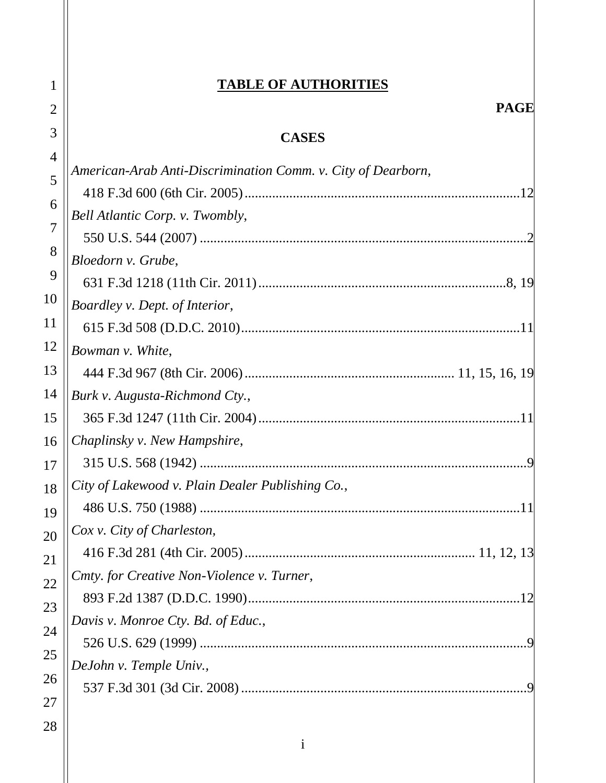### **TABLE OF AUTHORITIES**

# **CASES**

| 4              |                                                              |
|----------------|--------------------------------------------------------------|
| 5              | American-Arab Anti-Discrimination Comm. v. City of Dearborn, |
| 6              |                                                              |
| $\overline{7}$ | Bell Atlantic Corp. v. Twombly,                              |
|                |                                                              |
| 8              | Bloedorn v. Grube,                                           |
| 9              |                                                              |
| 10             | Boardley v. Dept. of Interior,                               |
| 11             |                                                              |
| 12             | Bowman v. White,                                             |
| 13             |                                                              |
| 14             | Burk v. Augusta-Richmond Cty.,                               |
| 15             |                                                              |
| 16             | Chaplinsky v. New Hampshire,                                 |
| 17             |                                                              |
| 18             | City of Lakewood v. Plain Dealer Publishing Co.,             |
| 19             |                                                              |
| 20             | Cox v. City of Charleston,                                   |
| 21             |                                                              |
| 22             | Cmty. for Creative Non-Violence v. Turner,                   |
| 23             |                                                              |
| 24             | Davis v. Monroe Cty. Bd. of Educ.,                           |
| 25             |                                                              |
|                | DeJohn v. Temple Univ.,                                      |
| 26             |                                                              |
| 27             |                                                              |

1

2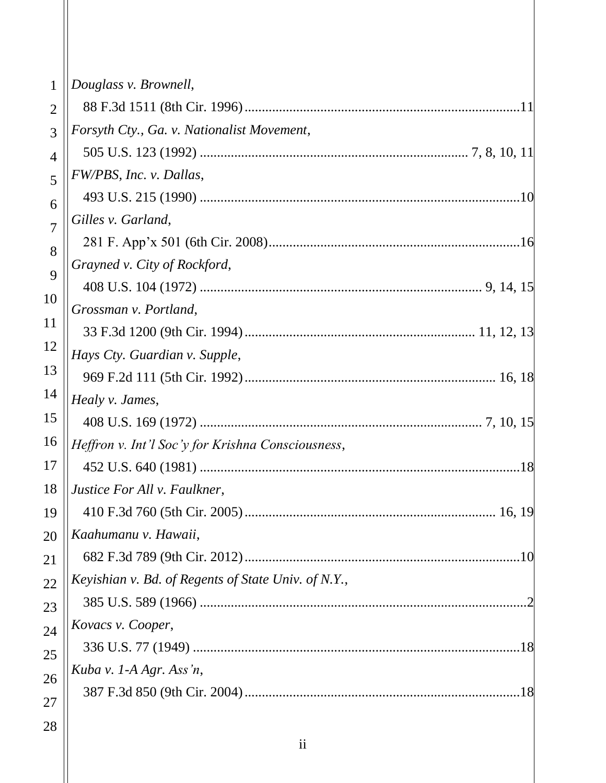| $\mathbf{1}$   | Douglass v. Brownell,                               |
|----------------|-----------------------------------------------------|
| $\overline{2}$ |                                                     |
| 3              | Forsyth Cty., Ga. v. Nationalist Movement,          |
| $\overline{4}$ |                                                     |
| 5              | FW/PBS, Inc. v. Dallas,                             |
| 6              |                                                     |
| $\overline{7}$ | Gilles v. Garland,                                  |
| 8              |                                                     |
| 9              | Grayned v. City of Rockford,                        |
|                |                                                     |
| 10             | Grossman v. Portland,                               |
| 11             |                                                     |
| 12             | Hays Cty. Guardian v. Supple,                       |
| 13             |                                                     |
| 14             | Healy v. James,                                     |
| 15             |                                                     |
| 16             | Heffron v. Int'l Soc'y for Krishna Consciousness,   |
| 17             |                                                     |
| 18             | Justice For All v. Faulkner,                        |
| 19             |                                                     |
| 20             | Kaahumanu v. Hawaii,                                |
| 21             |                                                     |
| 22             | Keyishian v. Bd. of Regents of State Univ. of N.Y., |
| 23             |                                                     |
| 24             | Kovacs v. Cooper,                                   |
| 25             |                                                     |
| 26             | Kuba v. 1-A Agr. Ass'n,                             |
| 27             |                                                     |
| 28             |                                                     |
|                |                                                     |

ii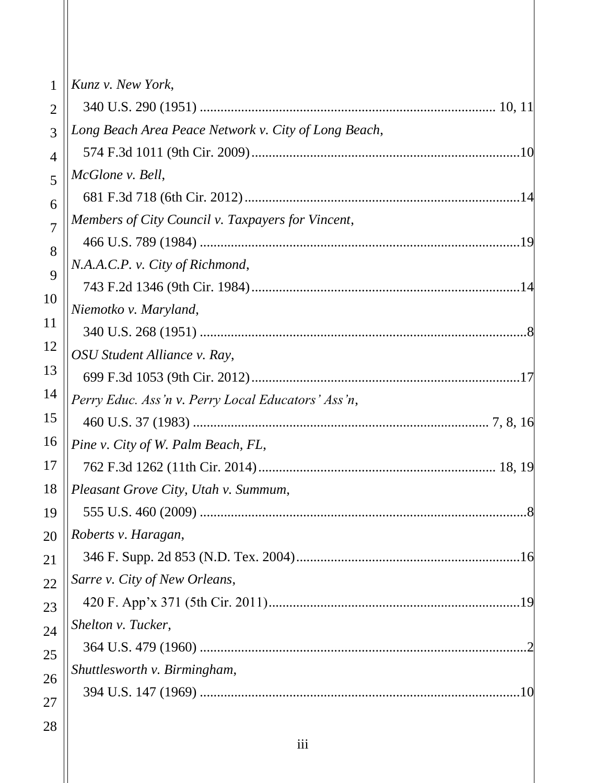| 1              | Kunz v. New York,                                    |
|----------------|------------------------------------------------------|
| $\overline{2}$ |                                                      |
| 3              | Long Beach Area Peace Network v. City of Long Beach, |
| $\overline{4}$ |                                                      |
| 5              | McGlone v. Bell,                                     |
| 6              |                                                      |
| $\overline{7}$ | Members of City Council v. Taxpayers for Vincent,    |
| 8              |                                                      |
| 9              | N.A.A.C.P. v. City of Richmond,                      |
| 10             |                                                      |
| 11             | Niemotko v. Maryland,                                |
|                |                                                      |
| 12             | OSU Student Alliance v. Ray,                         |
| 13             |                                                      |
| 14             | Perry Educ. Ass'n v. Perry Local Educators' Ass'n,   |
| 15             |                                                      |
| 16             | Pine v. City of W. Palm Beach, FL,                   |
| 17             |                                                      |
| 18             | Pleasant Grove City, Utah v. Summum,                 |
| 19             |                                                      |
| 20             | Roberts v. Haragan,                                  |
| 21             |                                                      |
| 22             | Sarre v. City of New Orleans,                        |
| 23             |                                                      |
| 24             | Shelton v. Tucker,                                   |
| 25             |                                                      |
| 26             | Shuttlesworth v. Birmingham,                         |
| 27             |                                                      |
| 28             |                                                      |

iii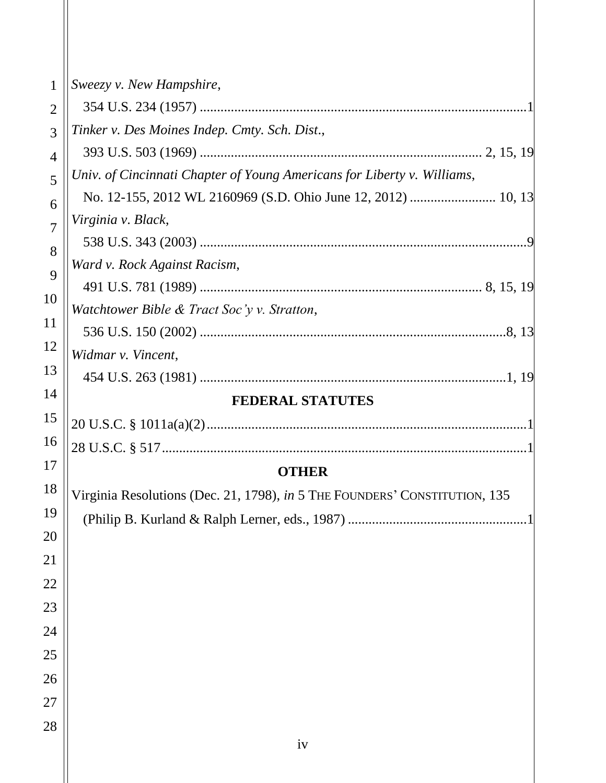| $\mathbf{1}$   | Sweezy v. New Hampshire,                                                   |  |  |  |
|----------------|----------------------------------------------------------------------------|--|--|--|
| $\overline{2}$ |                                                                            |  |  |  |
| 3              | Tinker v. Des Moines Indep. Cmty. Sch. Dist.,                              |  |  |  |
| 4              |                                                                            |  |  |  |
| 5              | Univ. of Cincinnati Chapter of Young Americans for Liberty v. Williams,    |  |  |  |
| 6              |                                                                            |  |  |  |
| $\overline{7}$ | Virginia v. Black,                                                         |  |  |  |
| 8              |                                                                            |  |  |  |
| 9              | Ward v. Rock Against Racism,                                               |  |  |  |
| 10             |                                                                            |  |  |  |
|                | Watchtower Bible & Tract Soc'y v. Stratton,                                |  |  |  |
| 11             |                                                                            |  |  |  |
| 12             | Widmar v. Vincent,                                                         |  |  |  |
| 13             |                                                                            |  |  |  |
| 14             | <b>FEDERAL STATUTES</b>                                                    |  |  |  |
| 15             |                                                                            |  |  |  |
| 16             |                                                                            |  |  |  |
| 17             | <b>OTHER</b>                                                               |  |  |  |
| 18             | Virginia Resolutions (Dec. 21, 1798), in 5 THE FOUNDERS' CONSTITUTION, 135 |  |  |  |
| 19             |                                                                            |  |  |  |
| 20             |                                                                            |  |  |  |
| 21             |                                                                            |  |  |  |
| 22             |                                                                            |  |  |  |
| 23             |                                                                            |  |  |  |
| 24             |                                                                            |  |  |  |
| 25             |                                                                            |  |  |  |
| 26             |                                                                            |  |  |  |
| 27             |                                                                            |  |  |  |
| 28             |                                                                            |  |  |  |
|                | iv                                                                         |  |  |  |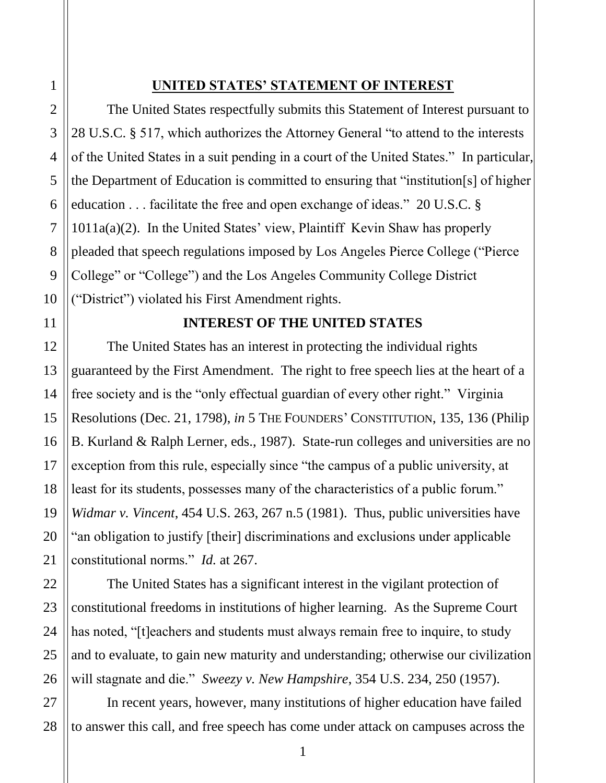### **UNITED STATES' STATEMENT OF INTEREST**

 the Department of Education is committed to ensuring that "institution[s] of higher pleaded that speech regulations imposed by Los Angeles Pierce College ("Pierce ("District") violated his First Amendment rights. The United States respectfully submits this Statement of Interest pursuant to 28 U.S.C. § 517, which authorizes the Attorney General "to attend to the interests of the United States in a suit pending in a court of the United States." In particular, education . . . facilitate the free and open exchange of ideas." 20 U.S.C. § 1011a(a)(2). In the United States' view, Plaintiff Kevin Shaw has properly College" or "College") and the Los Angeles Community College District

### **INTEREST OF THE UNITED STATES**

<span id="page-6-0"></span> The United States has an interest in protecting the individual rights free society and is the "only effectual guardian of every other right." Virginia constitutional norms." *Id.* at 267. <sup>1</sup><br>
<sup>1</sup><br>
28 U.S.C. § 517, which authorizes the Atto<br>
18 U.S.C. § 517, which authorizes the Atto<br>
of the United States in a suit pending in a c<br>
the Department of Education is committed<br>
<sup>1</sup><br>
1011a(a)(2). In the United St guaranteed by the First Amendment. The right to free speech lies at the heart of a Resolutions (Dec. 21, 1798), *in* 5 THE FOUNDERS' CONSTITUTION, 135, 136 (Philip B. Kurland & Ralph Lerner, eds., 1987). State-run colleges and universities are no exception from this rule, especially since "the campus of a public university, at least for its students, possesses many of the characteristics of a public forum." *Widmar v. Vincent*, 454 U.S. 263, 267 n.5 (1981). Thus, public universities have "an obligation to justify [their] discriminations and exclusions under applicable

 The United States has a significant interest in the vigilant protection of will stagnate and die." *Sweezy v. New Hampshire*, 354 U.S. 234, 250 (1957). constitutional freedoms in institutions of higher learning. As the Supreme Court has noted, "[t]eachers and students must always remain free to inquire, to study and to evaluate, to gain new maturity and understanding; otherwise our civilization

In recent years, however, many institutions of higher education have failed to answer this call, and free speech has come under attack on campuses across the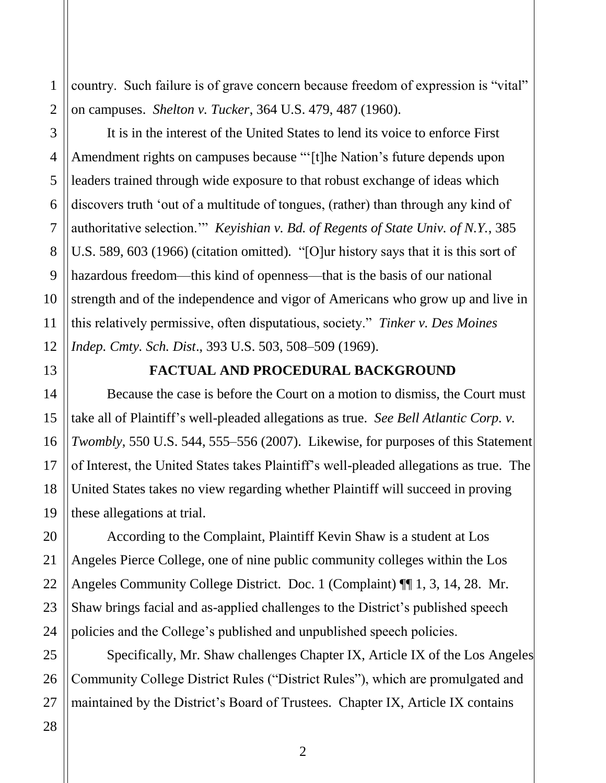country. Such failure is of grave concern because freedom of expression is "vital" on campuses. *Shelton v. Tucker*, 364 U.S. 479, 487 (1960).

<span id="page-7-0"></span> U.S. 589, 603 (1966) (citation omitted)*.* "[O]ur history says that it is this sort of hazardous freedom—this kind of openness—that is the basis of our national  this relatively permissive, often disputatious, society." *Tinker v. Des Moines*  1<br>  $\begin{array}{c}\n1 \text{ country. Such failure is of grave concern}\n\end{array}$  on campuses. *Shelton v. Tucker*, 364 U.S<br>
It is in the interest of the United St<br>
Amendment rights on campuses because<br>
leaders trained through wide exposure to<br>
discovers truth 'out of a It is in the interest of the United States to lend its voice to enforce First Amendment rights on campuses because "'[t]he Nation's future depends upon leaders trained through wide exposure to that robust exchange of ideas which discovers truth 'out of a multitude of tongues, (rather) than through any kind of authoritative selection.'" *Keyishian v. Bd. of Regents of State Univ. of N.Y.*, 385 strength and of the independence and vigor of Americans who grow up and live in *Indep. Cmty. Sch. Dist*., 393 U.S. 503, 508–509 (1969).

13

2

3

4

5

6

7

8

9

10

11

12

14

15

16

17

18

19

20

21

22

23

24

#### **FACTUAL AND PROCEDURAL BACKGROUND**

 Because the case is before the Court on a motion to dismiss, the Court must United States takes no view regarding whether Plaintiff will succeed in proving take all of Plaintiff's well-pleaded allegations as true. *See Bell Atlantic Corp. v. Twombly*, 550 U.S. 544, 555–556 (2007). Likewise, for purposes of this Statement of Interest, the United States takes Plaintiff's well-pleaded allegations as true. The these allegations at trial.

 policies and the College's published and unpublished speech policies. According to the Complaint, Plaintiff Kevin Shaw is a student at Los Angeles Pierce College, one of nine public community colleges within the Los Angeles Community College District. Doc. 1 (Complaint) ¶¶ 1, 3, 14, 28. Mr. Shaw brings facial and as-applied challenges to the District's published speech

25 26 27 Specifically, Mr. Shaw challenges Chapter IX, Article IX of the Los Angeles Community College District Rules ("District Rules"), which are promulgated and maintained by the District's Board of Trustees. Chapter IX, Article IX contains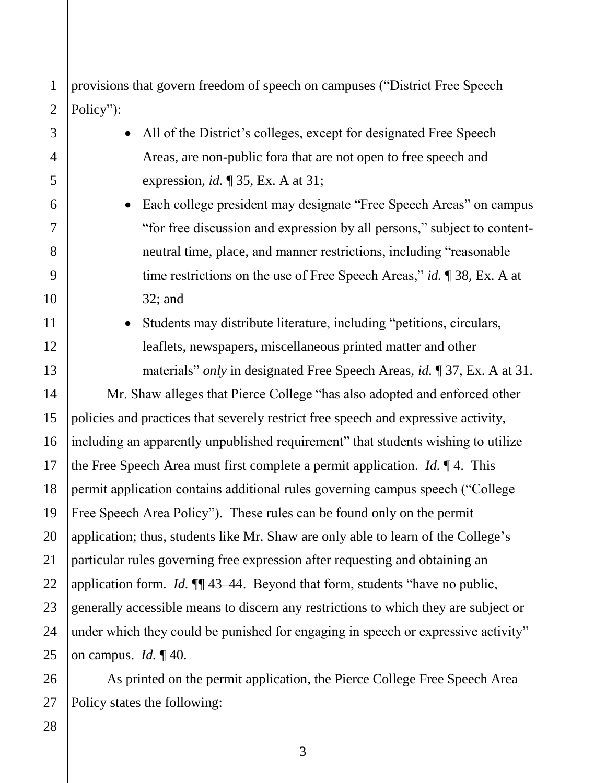2 provisions that govern freedom of speech on campuses ("District Free Speech Policy"):

| 1              | provisions that govern freedom of speech on campuses ("District Free Speech            |  |
|----------------|----------------------------------------------------------------------------------------|--|
| $\overline{c}$ | Policy":                                                                               |  |
| 3              | All of the District's colleges, except for designated Free Speech                      |  |
| 4              | Areas, are non-public fora that are not open to free speech and                        |  |
| 5              | expression, <i>id.</i> $\sqrt{ }$ 35, Ex. A at 31;                                     |  |
| 6              | Each college president may designate "Free Speech Areas" on campus                     |  |
| 7              | "for free discussion and expression by all persons," subject to content-               |  |
| 8              | neutral time, place, and manner restrictions, including "reasonable"                   |  |
| 9              | time restrictions on the use of Free Speech Areas," id. $\P$ 38, Ex. A at              |  |
| $\overline{0}$ | $32;$ and                                                                              |  |
| 1              | Students may distribute literature, including "petitions, circulars,                   |  |
| $\overline{2}$ | leaflets, newspapers, miscellaneous printed matter and other                           |  |
| 3              | materials" <i>only</i> in designated Free Speech Areas, <i>id.</i> 137, Ex. A at 31.   |  |
| 4              | Mr. Shaw alleges that Pierce College "has also adopted and enforced other              |  |
| 5              | policies and practices that severely restrict free speech and expressive activity,     |  |
| 6              | including an apparently unpublished requirement" that students wishing to utilize      |  |
| 7              | the Free Speech Area must first complete a permit application. <i>Id.</i> $\P$ 4. This |  |
| 8              | permit application contains additional rules governing campus speech ("College         |  |
| 9              | Free Speech Area Policy"). These rules can be found only on the permit                 |  |
| $\overline{0}$ | application; thus, students like Mr. Shaw are only able to learn of the College's      |  |
| $\mathbf{1}$   | particular rules governing free expression after requesting and obtaining an           |  |
| $\overline{c}$ | application form. <i>Id.</i> $\P$ 43–44. Beyond that form, students "have no public,   |  |
| 3              | generally accessible means to discern any restrictions to which they are subject or    |  |
| 4              | under which they could be punished for engaging in speech or expressive activity"      |  |
| 5              | on campus. <i>Id.</i> $\P$ 40.                                                         |  |

As printed on the permit application, the Pierce College Free Speech Area Policy states the following:

28

3

4

5

6

7

8

9

10

11

12

13

14

15

16

17

18

19

20

21

22

23

24

25

26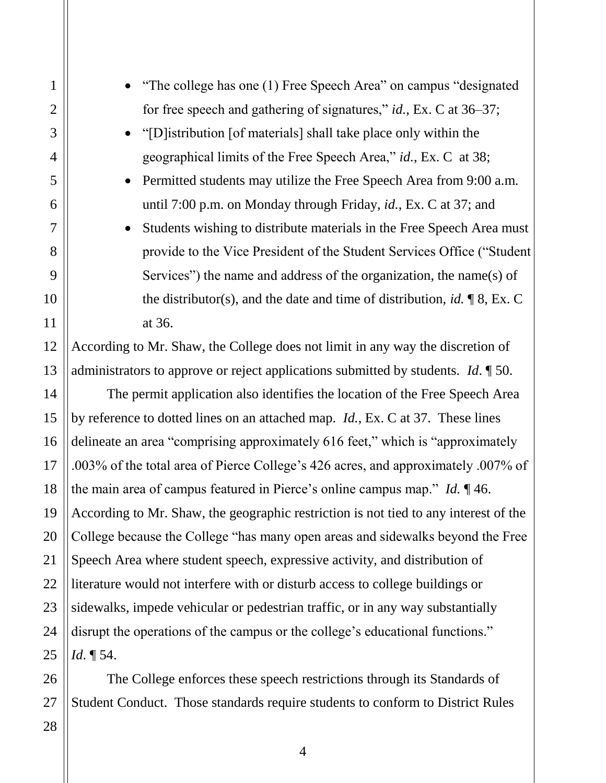geographical limits of the Free Speech Area," *id.*, Ex. C at 38; until 7:00 p.m. on Monday through Friday, *id.*, Ex. C at 37; and • Students wishing to distribute materials in the Free Speech Area must According to Mr. Shaw, the College does not limit in any way the discretion of by reference to dotted lines on an attached map. *Id.*, Ex. C at 37. These lines According to Mr. Shaw, the geographic restriction is not tied to any interest of the College because the College "has many open areas and sidewalks beyond the Free disrupt the operations of the campus or the college's educational functions." <sup>1</sup> The college has one (1) Free Speech Area<br>
for free speech and gathering of signatures.<br>
<sup>2</sup> "[D]istribution [of materials] shall take pla<br>
geographical limits of the Free Speech Are<br> **Permitted students may utilize the** 2 3 4 5 6 7 8 9 10 11 12 13 14 15 16 17 18 19 20 21 22 23 24 25 • "The college has one (1) Free Speech Area" on campus "designated for free speech and gathering of signatures," *id.*, Ex. C at 36–37; • "[D]istribution [of materials] shall take place only within the Permitted students may utilize the Free Speech Area from 9:00 a.m. provide to the Vice President of the Student Services Office ("Student Services") the name and address of the organization, the name(s) of the distributor(s), and the date and time of distribution, *id.* ¶ 8, Ex. C at 36. administrators to approve or reject applications submitted by students. *Id*. ¶ 50. The permit application also identifies the location of the Free Speech Area delineate an area "comprising approximately 616 feet," which is "approximately .003% of the total area of Pierce College's 426 acres, and approximately .007% of the main area of campus featured in Pierce's online campus map." *Id.* ¶ 46. Speech Area where student speech, expressive activity, and distribution of literature would not interfere with or disturb access to college buildings or sidewalks, impede vehicular or pedestrian traffic, or in any way substantially *Id*. ¶ 54.

The College enforces these speech restrictions through its Standards of Student Conduct. Those standards require students to conform to District Rules

27 28

26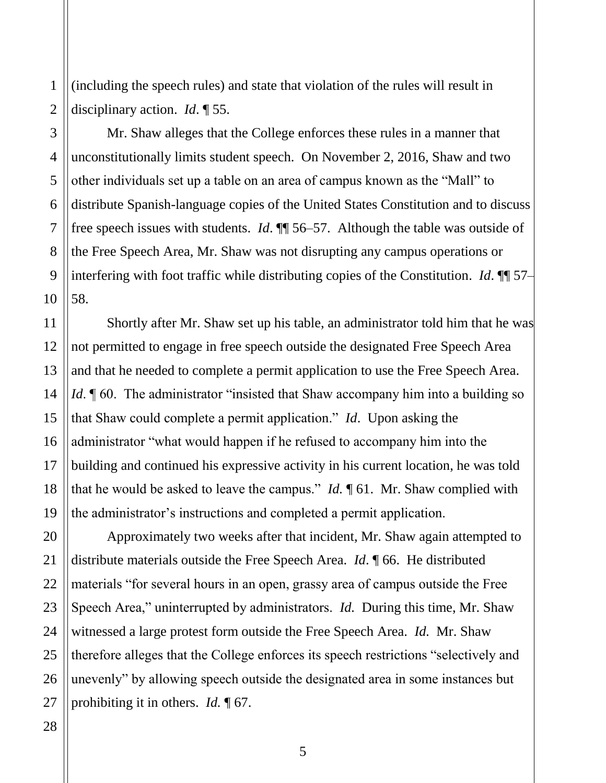(including the speech rules) and state that violation of the rules will result in disciplinary action. *Id*. ¶ 55.

 Mr. Shaw alleges that the College enforces these rules in a manner that unconstitutionally limits student speech. On November 2, 2016, Shaw and two other individuals set up a table on an area of campus known as the "Mall" to distribute Spanish-language copies of the United States Constitution and to discuss 1<br>
1 (including the speech rules) and state that violation of the rules v<br>
disciplinary action. *Id.* ¶ 55.<br>
Mr. Shaw alleges that the College enforces these rules in a<br>
1 unconstitutionally limits student speech. On Nove free speech issues with students. *Id*. ¶¶ 56–57. Although the table was outside of the Free Speech Area, Mr. Shaw was not disrupting any campus operations or interfering with foot traffic while distributing copies of the Constitution. *Id*. ¶¶ 57– 58.

 Shortly after Mr. Shaw set up his table, an administrator told him that he was *Id*. **[60.** The administrator "insisted that Shaw accompany him into a building so administrator "what would happen if he refused to accompany him into the building and continued his expressive activity in his current location, he was told that he would be asked to leave the campus." *Id.* ¶ 61. Mr. Shaw complied with not permitted to engage in free speech outside the designated Free Speech Area and that he needed to complete a permit application to use the Free Speech Area. that Shaw could complete a permit application." *Id*. Upon asking the the administrator's instructions and completed a permit application.

 Approximately two weeks after that incident, Mr. Shaw again attempted to Speech Area," uninterrupted by administrators. *Id.* During this time, Mr. Shaw witnessed a large protest form outside the Free Speech Area. *Id.* Mr. Shaw prohibiting it in others. *Id.* ¶ 67. distribute materials outside the Free Speech Area. *Id*. ¶ 66. He distributed materials "for several hours in an open, grassy area of campus outside the Free therefore alleges that the College enforces its speech restrictions "selectively and unevenly" by allowing speech outside the designated area in some instances but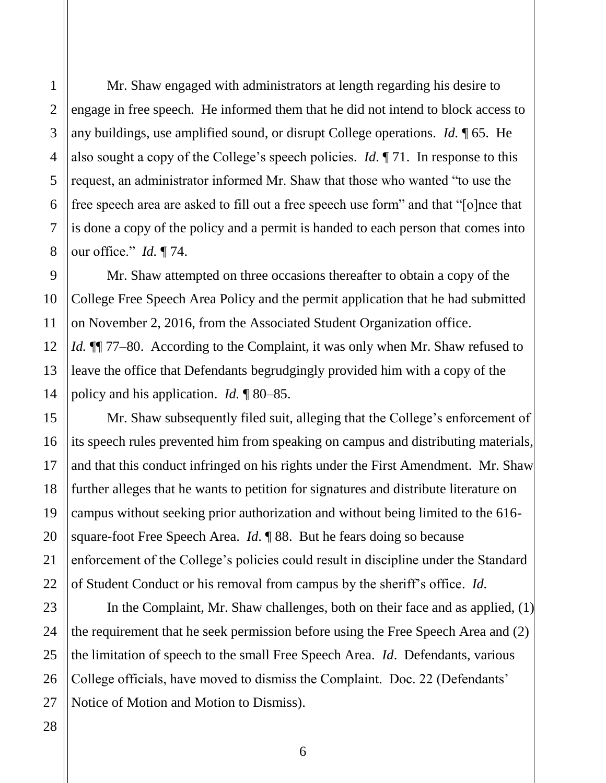3

4

5

6

 Mr. Shaw engaged with administrators at length regarding his desire to engage in free speech. He informed them that he did not intend to block access to is done a copy of the policy and a permit is handed to each person that comes into any buildings, use amplified sound, or disrupt College operations. *Id.* ¶ 65. He also sought a copy of the College's speech policies. *Id*. ¶ 71. In response to this request, an administrator informed Mr. Shaw that those who wanted "to use the free speech area are asked to fill out a free speech use form" and that "[o]nce that our office." *Id.* ¶ 74.

 College Free Speech Area Policy and the permit application that he had submitted leave the office that Defendants begrudgingly provided him with a copy of the Mr. Shaw attempted on three occasions thereafter to obtain a copy of the on November 2, 2016, from the Associated Student Organization office. *Id.* **[1]** 77–80. According to the Complaint, it was only when Mr. Shaw refused to policy and his application. *Id.* ¶ 80–85.

 its speech rules prevented him from speaking on campus and distributing materials, and that this conduct infringed on his rights under the First Amendment. Mr. Shaw further alleges that he wants to petition for signatures and distribute literature on campus without seeking prior authorization and without being limited to the 616- square-foot Free Speech Area. *Id*. ¶ 88. But he fears doing so because enforcement of the College's policies could result in discipline under the Standard 1 Mr. Shaw engaged with administrators at lead<br>
1 angage in free speech. He informed them that he c<br>
1 any buildings, use amplified sound, or disrupt Coll<br>
1 also sought a copy of the College's speech policies<br>
5 request, Mr. Shaw subsequently filed suit, alleging that the College's enforcement of of Student Conduct or his removal from campus by the sheriff's office. *Id.* 

 the requirement that he seek permission before using the Free Speech Area and (2) College officials, have moved to dismiss the Complaint. Doc. 22 (Defendants' Notice of Motion and Motion to Dismiss).<br>6 In the Complaint, Mr. Shaw challenges, both on their face and as applied, (1) the limitation of speech to the small Free Speech Area. *Id*. Defendants, various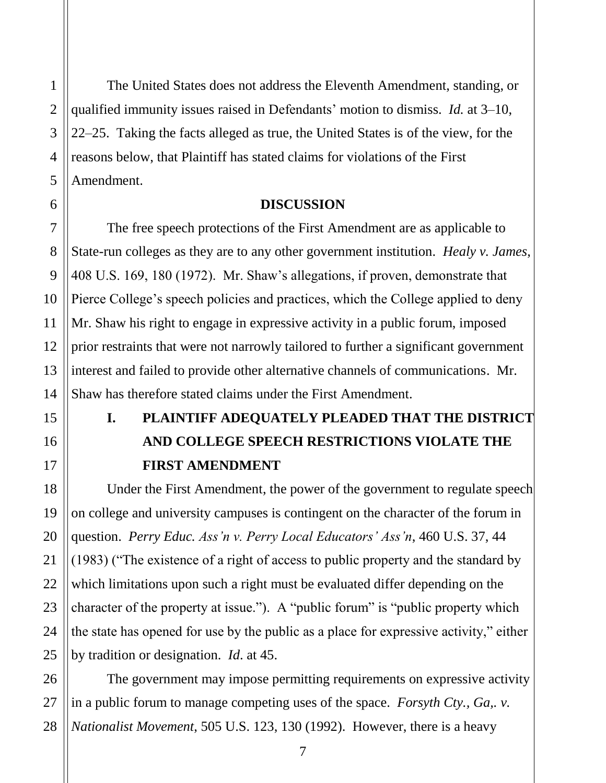<span id="page-12-0"></span> qualified immunity issues raised in Defendants' motion to dismiss. *Id.* at 3–10, 22–25. Taking the facts alleged as true, the United States is of the view, for the The United States does not address the Eleventh Amendment, standing, or reasons below, that Plaintiff has stated claims for violations of the First Amendment.

#### **DISCUSSION**

 The free speech protections of the First Amendment are as applicable to prior restraints that were not narrowly tailored to further a significant government interest and failed to provide other alternative channels of communications. Mr. State-run colleges as they are to any other government institution. *Healy v. James*, 408 U.S. 169, 180 (1972). Mr. Shaw's allegations, if proven, demonstrate that Pierce College's speech policies and practices, which the College applied to deny Mr. Shaw his right to engage in expressive activity in a public forum, imposed Shaw has therefore stated claims under the First Amendment.

# **I. PLAINTIFF ADEQUATELY PLEADED THAT THE DISTRICT AND COLLEGE SPEECH RESTRICTIONS VIOLATE THE FIRST AMENDMENT**

 by tradition or designation. *Id*. at 45. Under the First Amendment, the power of the government to regulate speech on college and university campuses is contingent on the character of the forum in question. *Perry Educ. Ass'n v. Perry Local Educators' Ass'n*, 460 U.S. 37, 44 (1983) ("The existence of a right of access to public property and the standard by which limitations upon such a right must be evaluated differ depending on the character of the property at issue."). A "public forum" is "public property which the state has opened for use by the public as a place for expressive activity," either

The government may impose permitting requirements on expressive activity in a public forum to manage competing uses of the space. *Forsyth Cty., Ga,. v. Nationalist Movement*, 505 U.S. 123, 130 (1992). However, there is a heavy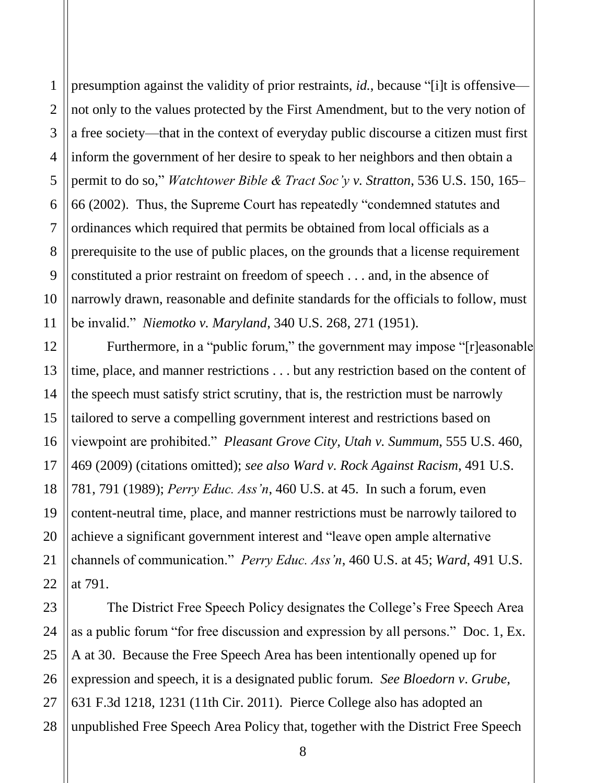<span id="page-13-0"></span> inform the government of her desire to speak to her neighbors and then obtain a ordinances which required that permits be obtained from local officials as a presumption against the validity of prior restraints, *id.*, because "[i]t is offensive not only to the values protected by the First Amendment, but to the very notion of a free society—that in the context of everyday public discourse a citizen must first permit to do so," *Watchtower Bible & Tract Soc'y v. Stratton*, 536 U.S. 150, 165– 66 (2002). Thus, the Supreme Court has repeatedly "condemned statutes and prerequisite to the use of public places, on the grounds that a license requirement constituted a prior restraint on freedom of speech . . . and, in the absence of narrowly drawn, reasonable and definite standards for the officials to follow, must be invalid." *Niemotko v. Maryland*, 340 U.S. 268, 271 (1951).

 tailored to serve a compelling government interest and restrictions based on 469 (2009) (citations omitted); *see also Ward v. Rock Against Racism*, 491 U.S. content-neutral time, place, and manner restrictions must be narrowly tailored to Furthermore, in a "public forum," the government may impose "[r]easonable time, place, and manner restrictions . . . but any restriction based on the content of the speech must satisfy strict scrutiny, that is, the restriction must be narrowly viewpoint are prohibited." *Pleasant Grove City, Utah v. Summum*, 555 U.S. 460, 781, 791 (1989); *Perry Educ. Ass'n*, 460 U.S. at 45. In such a forum, even achieve a significant government interest and "leave open ample alternative channels of communication." *Perry Educ. Ass'n*, 460 U.S. at 45; *Ward*, 491 U.S. at 791.

 expression and speech, it is a designated public forum. *See Bloedorn v*. *Grube*, 631 F.3d 1218, 1231 (11th Cir. 2011). Pierce College also has adopted an The District Free Speech Policy designates the College's Free Speech Area as a public forum "for free discussion and expression by all persons." Doc. 1, Ex. A at 30. Because the Free Speech Area has been intentionally opened up for unpublished Free Speech Area Policy that, together with the District Free Speech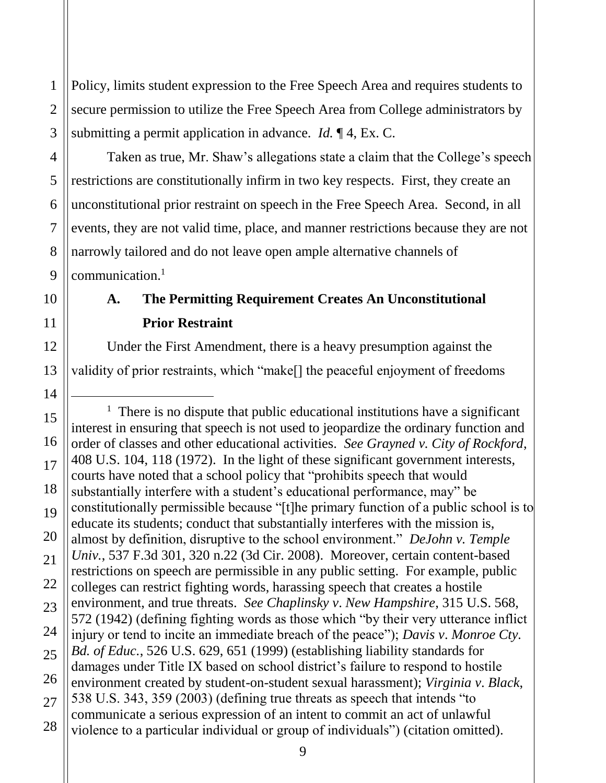Policy, limits student expression to the Free Speech Area and requires students to secure permission to utilize the Free Speech Area from College administrators by submitting a permit application in advance. *Id.* ¶ 4, Ex. C.

<span id="page-14-0"></span> Taken as true, Mr. Shaw's allegations state a claim that the College's speech communication.<sup>1</sup> Policy, limits student expression to the Free Speech Area and require<br>
secure permission to utilize the Free Speech Area from College ad<br>
submitting a permit application in advance. *Id.* ¶ 4, Ex. C.<br>
Taken as true, Mr. Sh restrictions are constitutionally infirm in two key respects. First, they create an unconstitutional prior restraint on speech in the Free Speech Area. Second, in all events, they are not valid time, place, and manner restrictions because they are not narrowly tailored and do not leave open ample alternative channels of

### **A. The Permitting Requirement Creates An Unconstitutional Prior Restraint**

 validity of prior restraints, which "make[] the peaceful enjoyment of freedoms Under the First Amendment, there is a heavy presumption against the

i<br>L

<sup>&</sup>lt;sup>1</sup> There is no dispute that public educational institutions have a significant interest in ensuring that speech is not used to jeopardize the ordinary function and educate its students; conduct that substantially interferes with the mission is, environment, and true threats. *See Chaplinsky v*. *New Hampshire*, 315 U.S. 568, communicate a serious expression of an intent to commit an act of unlawful order of classes and other educational activities. *See Grayned v. City of Rockford*, 408 U.S. 104, 118 (1972). In the light of these significant government interests, courts have noted that a school policy that "prohibits speech that would substantially interfere with a student's educational performance, may" be constitutionally permissible because "[t]he primary function of a public school is to almost by definition, disruptive to the school environment." *DeJohn v. Temple Univ.*, 537 F.3d 301, 320 n.22 (3d Cir. 2008). Moreover, certain content-based restrictions on speech are permissible in any public setting. For example, public colleges can restrict fighting words, harassing speech that creates a hostile 572 (1942) (defining fighting words as those which "by their very utterance inflict injury or tend to incite an immediate breach of the peace"); *Davis v*. *Monroe Cty. Bd. of Educ.*, 526 U.S. 629, 651 (1999) (establishing liability standards for damages under Title IX based on school district's failure to respond to hostile environment created by student-on-student sexual harassment); *Virginia v*. *Black*, 538 U.S. 343, 359 (2003) (defining true threats as speech that intends "to violence to a particular individual or group of individuals") (citation omitted).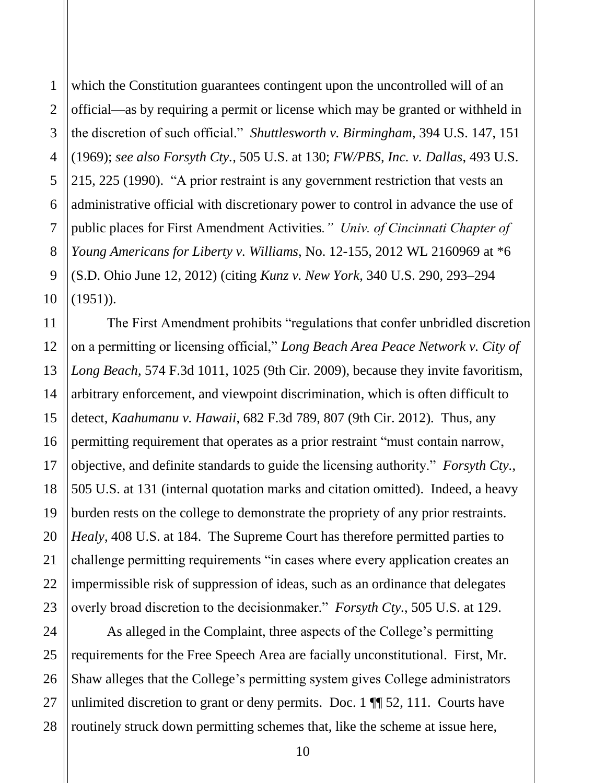<span id="page-15-0"></span> public places for First Amendment Activities*." Univ. of Cincinnati Chapter of* 2 3 4 which the Constitution guarantees contingent upon the uncontrolled will of an official—as by requiring a permit or license which may be granted or withheld in the discretion of such official." *Shuttlesworth v. Birmingham*, 394 U.S. 147, 151 (1969); *see also Forsyth Cty.,* 505 U.S. at 130; *FW/PBS, Inc. v. Dallas*, 493 U.S. 215, 225 (1990). "A prior restraint is any government restriction that vests an administrative official with discretionary power to control in advance the use of *Young Americans for Liberty v. Williams*, No. 12-155, 2012 WL 2160969 at \*6 (S.D. Ohio June 12, 2012) (citing *Kunz v. New York*, 340 U.S. 290, 293–294  $(1951)$ ).

 on a permitting or licensing official," *Long Beach Area Peace Network v. City of*  arbitrary enforcement, and viewpoint discrimination, which is often difficult to permitting requirement that operates as a prior restraint "must contain narrow, objective, and definite standards to guide the licensing authority." *Forsyth Cty.*, *Healy*, 408 U.S. at 184. The Supreme Court has therefore permitted parties to impermissible risk of suppression of ideas, such as an ordinance that delegates overly broad discretion to the decisionmaker." *Forsyth Cty.*, 505 U.S. at 129. Which the Constitution guarantees contingent upon the uncontrolled<br>
1 official—as by requiring a permit or license which may be granted of<br>
1 due discretion of such official." *Shuttlesworth v. Birmingham*, 394 U<br>
1 (1969) The First Amendment prohibits "regulations that confer unbridled discretion *Long Beach*, 574 F.3d 1011, 1025 (9th Cir. 2009), because they invite favoritism, detect, *Kaahumanu v. Hawaii*, 682 F.3d 789, 807 (9th Cir. 2012). Thus, any 505 U.S. at 131 (internal quotation marks and citation omitted). Indeed, a heavy burden rests on the college to demonstrate the propriety of any prior restraints. challenge permitting requirements "in cases where every application creates an

 As alleged in the Complaint, three aspects of the College's permitting requirements for the Free Speech Area are facially unconstitutional. First, Mr. Shaw alleges that the College's permitting system gives College administrators unlimited discretion to grant or deny permits. Doc.  $1 \sqrt{\frac{1}{2}}$  52, 111. Courts have routinely struck down permitting schemes that, like the scheme at issue here,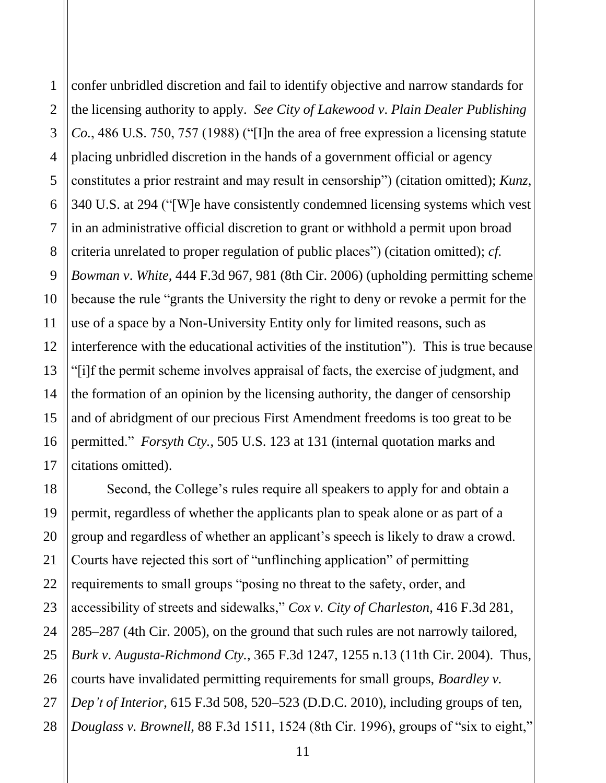<span id="page-16-0"></span> placing unbridled discretion in the hands of a government official or agency in an administrative official discretion to grant or withhold a permit upon broad and of abridgment of our precious First Amendment freedoms is too great to be Fraction and fail to identify objective<br>
2 the licensing authority to apply. *See City of Lakewood*<br>
2 co., 486 U.S. 750, 757 (1988) ("[1] the area of free ex<br>
placing unbridled discretion in the hands of a governm<br>
5 con confer unbridled discretion and fail to identify objective and narrow standards for the licensing authority to apply. *See City of Lakewood v*. *Plain Dealer Publishing Co.*, 486 U.S. 750, 757 (1988) ("[I]n the area of free expression a licensing statute constitutes a prior restraint and may result in censorship") (citation omitted); *Kunz*, 340 U.S. at 294 ("[W]e have consistently condemned licensing systems which vest criteria unrelated to proper regulation of public places") (citation omitted); *cf. Bowman v*. *White*, 444 F.3d 967, 981 (8th Cir. 2006) (upholding permitting scheme because the rule "grants the University the right to deny or revoke a permit for the use of a space by a Non-University Entity only for limited reasons, such as interference with the educational activities of the institution"). This is true because "[i]f the permit scheme involves appraisal of facts, the exercise of judgment, and the formation of an opinion by the licensing authority, the danger of censorship permitted." *Forsyth Cty.*, 505 U.S. 123 at 131 (internal quotation marks and citations omitted).

 group and regardless of whether an applicant's speech is likely to draw a crowd. requirements to small groups "posing no threat to the safety, order, and *Douglass v. Brownell*, 88 F.3d 1511, 1524 (8th Cir. 1996), groups of "six to eight," Second, the College's rules require all speakers to apply for and obtain a permit, regardless of whether the applicants plan to speak alone or as part of a Courts have rejected this sort of "unflinching application" of permitting accessibility of streets and sidewalks," *Cox v. City of Charleston*, 416 F.3d 281, 285–287 (4th Cir. 2005), on the ground that such rules are not narrowly tailored, *Burk v*. *Augusta-Richmond Cty.*, 365 F.3d 1247, 1255 n.13 (11th Cir. 2004). Thus, courts have invalidated permitting requirements for small groups, *Boardley v. Dep't of Interior*, 615 F.3d 508, 520–523 (D.D.C. 2010), including groups of ten,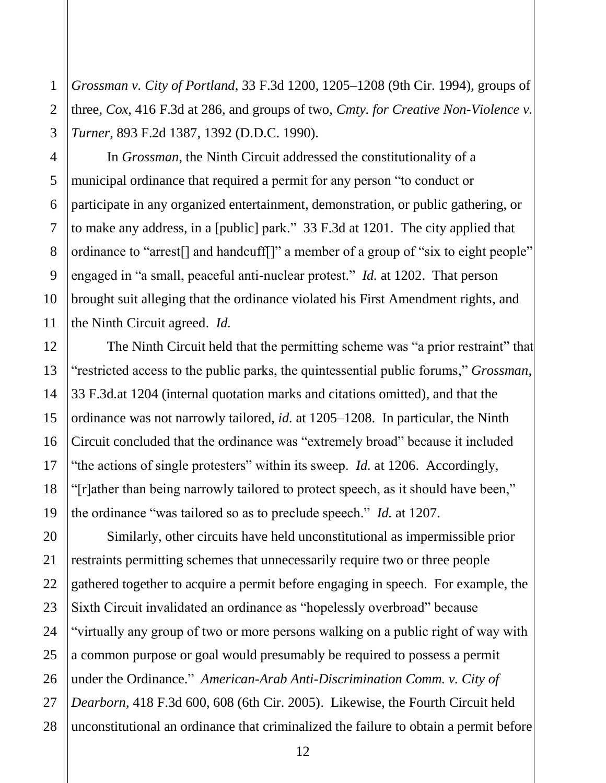*Grossman v. City of Portland*, 33 F.3d 1200, 1205–1208 (9th Cir. 1994), groups of three, *Cox*, 416 F.3d at 286, and groups of two, *Cmty. for Creative Non-Violence v. Turner*, 893 F.2d 1387, 1392 (D.D.C. 1990).

<span id="page-17-0"></span> to make any address, in a [public] park." 33 F.3d at 1201. The city applied that engaged in "a small, peaceful anti-nuclear protest." *Id.* at 1202. That person 1 *Grossman v. City of Portland*, 33 F.3d 1<br>
three, *Cox*, 416 F.3d at 286, and groups<br>
7 *Turner*, 893 F.2d 1387, 1392 (D.D.C. 15<br>
In *Grossman*, the Ninth Circuit ad<br>
municipal ordinance that required a perr<br>
participat In *Grossman*, the Ninth Circuit addressed the constitutionality of a municipal ordinance that required a permit for any person "to conduct or participate in any organized entertainment, demonstration, or public gathering, or ordinance to "arrest[] and handcuff[]" a member of a group of "six to eight people" brought suit alleging that the ordinance violated his First Amendment rights, and the Ninth Circuit agreed. *Id.* 

 ordinance was not narrowly tailored, *id.* at 1205–1208. In particular, the Ninth "the actions of single protesters" within its sweep. *Id.* at 1206. Accordingly, "[r]ather than being narrowly tailored to protect speech, as it should have been," The Ninth Circuit held that the permitting scheme was "a prior restraint" that "restricted access to the public parks, the quintessential public forums," *Grossman*, 33 F.3d*.*at 1204 (internal quotation marks and citations omitted), and that the Circuit concluded that the ordinance was "extremely broad" because it included the ordinance "was tailored so as to preclude speech." *Id.* at 1207.

 restraints permitting schemes that unnecessarily require two or three people gathered together to acquire a permit before engaging in speech. For example, the Sixth Circuit invalidated an ordinance as "hopelessly overbroad" because Similarly, other circuits have held unconstitutional as impermissible prior "virtually any group of two or more persons walking on a public right of way with a common purpose or goal would presumably be required to possess a permit under the Ordinance." *American-Arab Anti-Discrimination Comm. v. City of Dearborn*, 418 F.3d 600, 608 (6th Cir. 2005). Likewise, the Fourth Circuit held unconstitutional an ordinance that criminalized the failure to obtain a permit before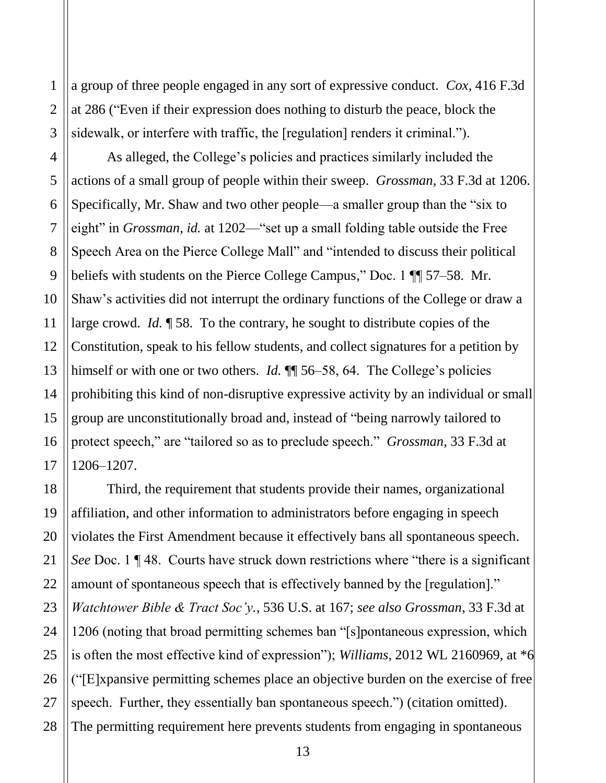at 286 ("Even if their expression does nothing to disturb the peace, block the a group of three people engaged in any sort of expressive conduct. *Cox*, 416 F.3d sidewalk, or interfere with traffic, the [regulation] renders it criminal.").

2

 $\mathbf{1}$ 

3

4

5

6

7

8

9

10

11

12

13

14

15

16

17

21

27

<span id="page-18-0"></span>beliefs with students on the Pierce College Campus," Doc. 1 [[ 57–58. Mr. Shaw's activities did not interrupt the ordinary functions of the College or draw a Constitution, speak to his fellow students, and collect signatures for a petition by prohibiting this kind of non-disruptive expressive activity by an individual or small 1<br>
2<br>
a group of thr<br>
at 286 ("Even<br>
sidewalk, or i<br>
4<br>
5<br>
actions of a st<br>
5<br>
specifically, 1<br>
eight" in *Gro*<br>
8<br>
Specifically, 1<br>
specifically, 1<br>
specifically, 1<br>
specifically, 1<br>
Specifically, 1<br>
Specifically, 1<br>
Spe As alleged, the College's policies and practices similarly included the actions of a small group of people within their sweep. *Grossman*, 33 F.3d at 1206. Specifically, Mr. Shaw and two other people—a smaller group than the "six to eight" in *Grossman*, *id.* at 1202—"set up a small folding table outside the Free Speech Area on the Pierce College Mall" and "intended to discuss their political large crowd. *Id.* ¶ 58. To the contrary, he sought to distribute copies of the himself or with one or two others. *Id.*  $\P$  56–58, 64. The College's policies group are unconstitutionally broad and, instead of "being narrowly tailored to protect speech," are "tailored so as to preclude speech." *Grossman*, 33 F.3d at 1206–1207.

 affiliation, and other information to administrators before engaging in speech violates the First Amendment because it effectively bans all spontaneous speech.  *Watchtower Bible & Tract Soc'y.*, 536 U.S. at 167; *see also Grossman*, 33 F.3d at 1206 (noting that broad permitting schemes ban "[s]pontaneous expression, which is often the most effective kind of expression"); *Williams*, 2012 WL 2160969, at \*6 ("[E]xpansive permitting schemes place an objective burden on the exercise of free 18 19 20 22 23 24 25 26 28 Third, the requirement that students provide their names, organizational *See* Doc. 1 ¶ 48. Courts have struck down restrictions where "there is a significant amount of spontaneous speech that is effectively banned by the [regulation]." speech. Further, they essentially ban spontaneous speech.") (citation omitted). The permitting requirement here prevents students from engaging in spontaneous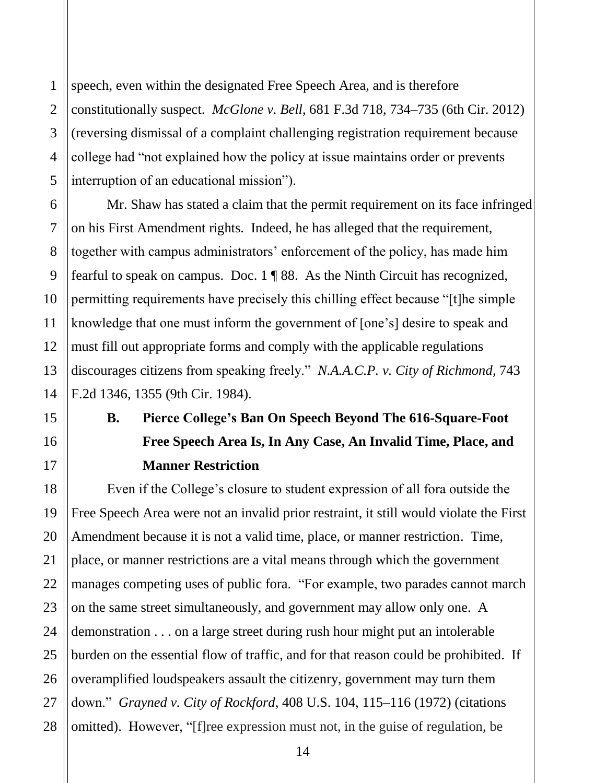28

<span id="page-19-0"></span>1

2

3

4

 speech, even within the designated Free Speech Area, and is therefore college had "not explained how the policy at issue maintains order or prevents constitutionally suspect. *McGlone v. Bell*, 681 F.3d 718, 734–735 (6th Cir. 2012) (reversing dismissal of a complaint challenging registration requirement because interruption of an educational mission").

 Mr. Shaw has stated a claim that the permit requirement on its face infringed on his First Amendment rights. Indeed, he has alleged that the requirement, fearful to speak on campus. Doc. 1 ¶ 88. As the Ninth Circuit has recognized, how the policy at issue maintains<br>nal mission").<br>a claim that the permit requireme<br>ghts. Indeed, he has alleged that t<br>inistrators' enforcement of the pol<br>. Doc. 1 ¶ 88. As the Ninth Circu<br>we precisely this chilling effect together with campus administrators' enforcement of the policy, has made him permitting requirements have precisely this chilling effect because "[t]he simple knowledge that one must inform the government of [one's] desire to speak and must fill out appropriate forms and comply with the applicable regulations discourages citizens from speaking freely." *N.A.A.C.P. v. City of Richmond*, 743 F.2d 1346, 1355 (9th Cir. 1984).

# **B. Pierce College's Ban On Speech Beyond The 616-Square-Foot Free Speech Area Is, In Any Case, An Invalid Time, Place, and Manner Restriction**

 Even if the College's closure to student expression of all fora outside the Amendment because it is not a valid time, place, or manner restriction. Time, manages competing uses of public fora. "For example, two parades cannot march on the same street simultaneously, and government may allow only one. A burden on the essential flow of traffic, and for that reason could be prohibited. If Free Speech Area were not an invalid prior restraint, it still would violate the First place, or manner restrictions are a vital means through which the government demonstration . . . on a large street during rush hour might put an intolerable overamplified loudspeakers assault the citizenry, government may turn them down." *Grayned v. City of Rockford*, 408 U.S. 104, 115–116 (1972) (citations omitted). However, "[f]ree expression must not, in the guise of regulation, be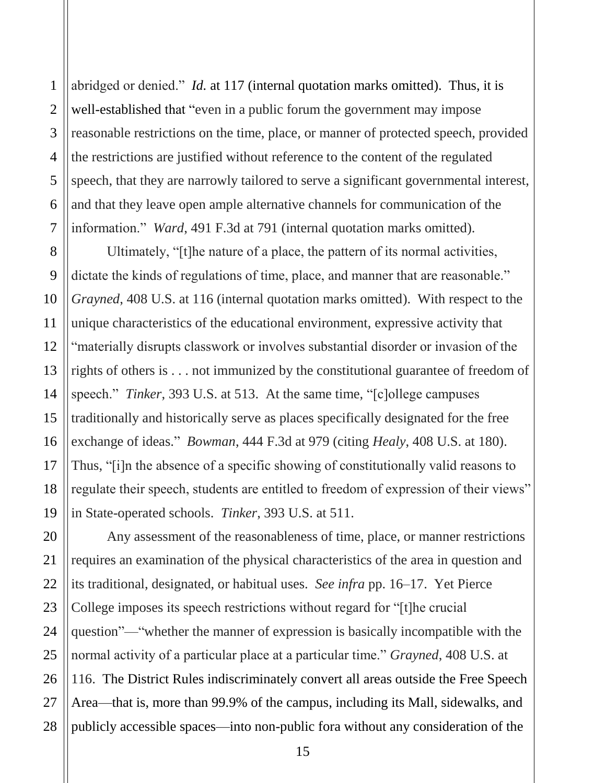<span id="page-20-0"></span>1

2

3

4

 abridged or denied." *Id.* at 117 (internal quotation marks omitted). Thus, it is speech, that they are narrowly tailored to serve a significant governmental interest, well-established that "even in a public forum the government may impose reasonable restrictions on the time, place, or manner of protected speech, provided the restrictions are justified without reference to the content of the regulated and that they leave open ample alternative channels for communication of the information." *Ward*, 491 F.3d at 791 (internal quotation marks omitted).

 *Grayned*, 408 U.S. at 116 (internal quotation marks omitted). With respect to the "materially disrupts classwork or involves substantial disorder or invasion of the exchange of ideas." *Bowman*, 444 F.3d at 979 (citing *Healy*, 408 U.S. at 180). Thus, "[i]n the absence of a specific showing of constitutionally valid reasons to in State-operated schools. *Tinker*, 393 U.S. at 511. Ultimately, "[t]he nature of a place, the pattern of its normal activities, dictate the kinds of regulations of time, place, and manner that are reasonable." unique characteristics of the educational environment, expressive activity that rights of others is . . . not immunized by the constitutional guarantee of freedom of speech." *Tinker*, 393 U.S. at 513. At the same time, "[c]ollege campuses traditionally and historically serve as places specifically designated for the free regulate their speech, students are entitled to freedom of expression of their views"

 its traditional, designated, or habitual uses. *See infra* pp. 16–17. Yet Pierce Any assessment of the reasonableness of time, place, or manner restrictions requires an examination of the physical characteristics of the area in question and College imposes its speech restrictions without regard for "[t]he crucial question"—"whether the manner of expression is basically incompatible with the normal activity of a particular place at a particular time." *Grayned*, 408 U.S. at 116. The District Rules indiscriminately convert all areas outside the Free Speech Area—that is, more than 99.9% of the campus, including its Mall, sidewalks, and publicly accessible spaces—into non-public fora without any consideration of the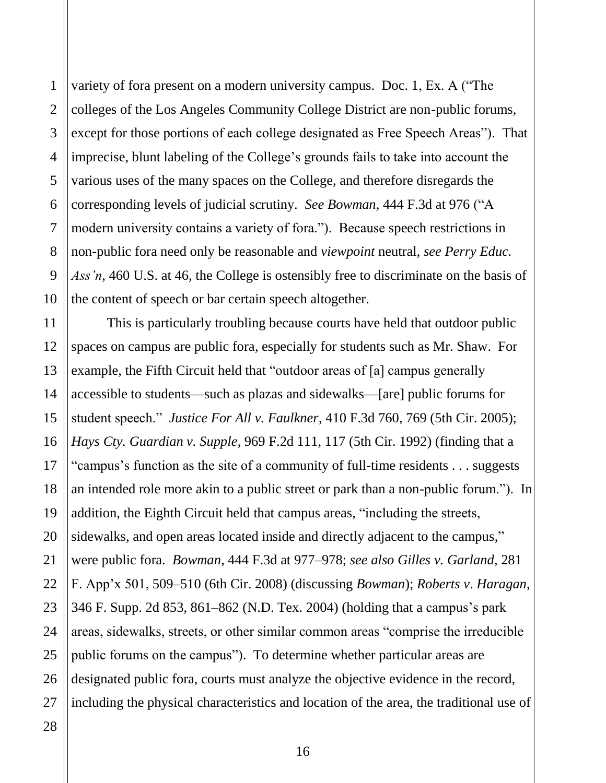<span id="page-21-0"></span> imprecise, blunt labeling of the College's grounds fails to take into account the modern university contains a variety of fora."). Because speech restrictions in the content of speech or bar certain speech altogether. 1<br>
2<br>
colleges of the Los Angeles Community College District<br>
3<br>
except for those portions of each college designated as l<br>
imprecise, blunt labeling of the College's grounds fails<br>
5<br>
various uses of the many spaces on th 2 3 4 5 6 7 8 9 10 variety of fora present on a modern university campus. Doc. 1, Ex. A ("The colleges of the Los Angeles Community College District are non-public forums, except for those portions of each college designated as Free Speech Areas"). That various uses of the many spaces on the College, and therefore disregards the corresponding levels of judicial scrutiny. *See Bowman*, 444 F.3d at 976 ("A non-public fora need only be reasonable and *viewpoint* neutral, *see Perry Educ. Ass'n*, 460 U.S. at 46, the College is ostensibly free to discriminate on the basis of

 example, the Fifth Circuit held that "outdoor areas of [a] campus generally accessible to students—such as plazas and sidewalks—[are] public forums for an intended role more akin to a public street or park than a non-public forum."). In sidewalks, and open areas located inside and directly adjacent to the campus," 12 13 14 16 18 19 20 22 23 24 25 26 This is particularly troubling because courts have held that outdoor public spaces on campus are public fora, especially for students such as Mr. Shaw. For student speech." *Justice For All v. Faulkner*, 410 F.3d 760, 769 (5th Cir. 2005); *Hays Cty. Guardian v. Supple*, 969 F.2d 111, 117 (5th Cir. 1992) (finding that a "campus's function as the site of a community of full-time residents . . . suggests addition, the Eighth Circuit held that campus areas, "including the streets, were public fora. *Bowman*, 444 F.3d at 977–978; *see also Gilles v. Garland*, 281 F. App'x 501, 509–510 (6th Cir. 2008) (discussing *Bowman*); *Roberts v*. *Haragan*, 346 F. Supp. 2d 853, 861–862 (N.D. Tex. 2004) (holding that a campus's park areas, sidewalks, streets, or other similar common areas "comprise the irreducible public forums on the campus"). To determine whether particular areas are designated public fora, courts must analyze the objective evidence in the record, including the physical characteristics and location of the area, the traditional use of

27 28

11

15

17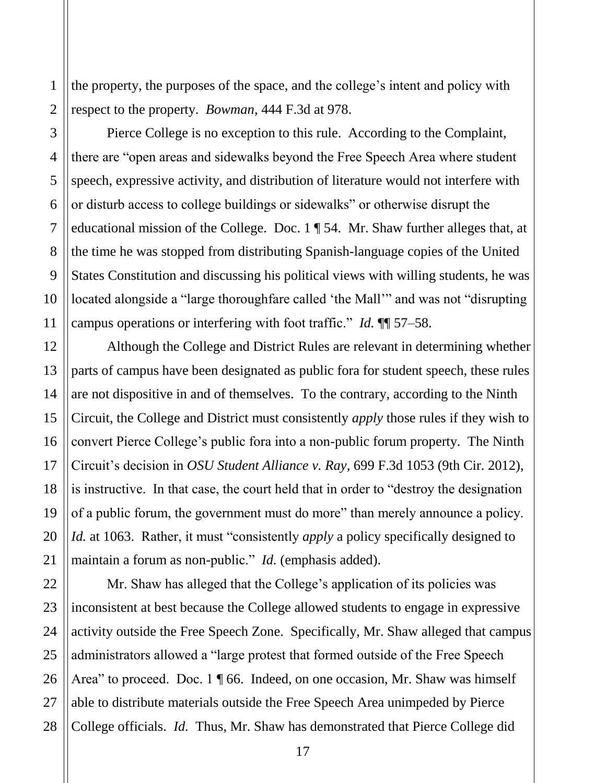the property, the purposes of the space, and the college's intent and policy with respect to the property. *Bowman*, 444 F.3d at 978.

<span id="page-22-0"></span> Pierce College is no exception to this rule. According to the Complaint, there are "open areas and sidewalks beyond the Free Speech Area where student or disturb access to college buildings or sidewalks" or otherwise disrupt the campus operations or interfering with foot traffic." *Id.* ¶¶ 57–58. 1 and 1 and 1 and 1 and 1 and 1 and 1 and 1 and 1 and 1 and 1 and 1 and 1 and 1 and 1 and 1 and 1 and 1 and 1 and 1 and 1 and 1 and 1 and 1 and 1 and 1 and 1 and 1 and 1 and 1 and 1 and 1 and 1 and 1 and 1 and 1 and 1 and speech, expressive activity, and distribution of literature would not interfere with educational mission of the College. Doc. 1 ¶ 54. Mr. Shaw further alleges that, at the time he was stopped from distributing Spanish-language copies of the United States Constitution and discussing his political views with willing students, he was located alongside a "large thoroughfare called 'the Mall'" and was not "disrupting

 Although the College and District Rules are relevant in determining whether parts of campus have been designated as public fora for student speech, these rules convert Pierce College's public fora into a non-public forum property. The Ninth is instructive. In that case, the court held that in order to "destroy the designation are not dispositive in and of themselves. To the contrary, according to the Ninth Circuit, the College and District must consistently *apply* those rules if they wish to Circuit's decision in *OSU Student Alliance v. Ray,* 699 F.3d 1053 (9th Cir. 2012), of a public forum, the government must do more" than merely announce a policy. *Id.* at 1063. Rather, it must "consistently *apply* a policy specifically designed to maintain a forum as non-public." *Id.* (emphasis added).

 activity outside the Free Speech Zone. Specifically, Mr. Shaw alleged that campus Mr. Shaw has alleged that the College's application of its policies was inconsistent at best because the College allowed students to engage in expressive administrators allowed a "large protest that formed outside of the Free Speech Area" to proceed. Doc. 1 | 66. Indeed, on one occasion, Mr. Shaw was himself able to distribute materials outside the Free Speech Area unimpeded by Pierce College officials. *Id.* Thus, Mr. Shaw has demonstrated that Pierce College did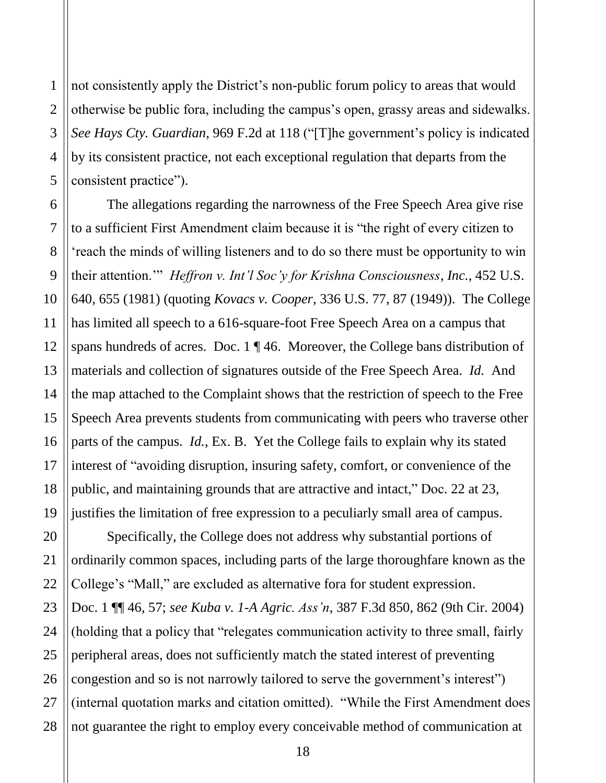27

28

<span id="page-23-0"></span>1

2

3

4

 not consistently apply the District's non-public forum policy to areas that would by its consistent practice, not each exceptional regulation that departs from the otherwise be public fora, including the campus's open, grassy areas and sidewalks. *See Hays Cty. Guardian*, 969 F.2d at 118 ("[T]he government's policy is indicated consistent practice").

 'reach the minds of willing listeners and to do so there must be opportunity to win  their attention.'" *Heffron v. Int'l Soc'y for Krishna Consciousness, Inc.*, 452 U.S. spans hundreds of acres. Doc. 1 ¶ 46. Moreover, the College bans distribution of materials and collection of signatures outside of the Free Speech Area. *Id.* And Speech Area prevents students from communicating with peers who traverse other Figures and to<br>Soc 'y for .<br>For .<br>For .<br>The .<br>Moreover .<br>The .<br>The .<br>Social set of .<br>The .<br>The .<br>Note to .<br>The .<br>The .<br>The .<br>Note .<br>The .<br>The .<br>The .<br>The .<br>The .<br>The .<br>The .<br>The .<br>The .<br>The .<br>The .<br>The .<br>The .<br>The .<br>The .<br> The allegations regarding the narrowness of the Free Speech Area give rise to a sufficient First Amendment claim because it is "the right of every citizen to 640, 655 (1981) (quoting *Kovacs v. Cooper*, 336 U.S. 77, 87 (1949)). The College has limited all speech to a 616-square-foot Free Speech Area on a campus that the map attached to the Complaint shows that the restriction of speech to the Free parts of the campus. *Id.*, Ex. B. Yet the College fails to explain why its stated interest of "avoiding disruption, insuring safety, comfort, or convenience of the public, and maintaining grounds that are attractive and intact," Doc. 22 at 23, justifies the limitation of free expression to a peculiarly small area of campus.

 Specifically, the College does not address why substantial portions of congestion and so is not narrowly tailored to serve the government's interest") ordinarily common spaces, including parts of the large thoroughfare known as the College's "Mall," are excluded as alternative fora for student expression. Doc. 1 ¶¶ 46, 57; *see Kuba v. 1-A Agric. Ass'n*, 387 F.3d 850, 862 (9th Cir. 2004) (holding that a policy that "relegates communication activity to three small, fairly peripheral areas, does not sufficiently match the stated interest of preventing (internal quotation marks and citation omitted). "While the First Amendment does not guarantee the right to employ every conceivable method of communication at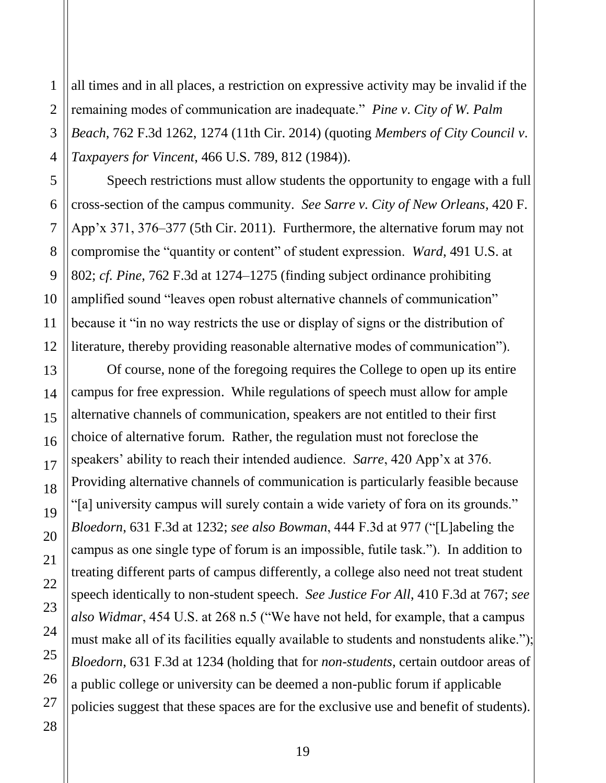<span id="page-24-0"></span>3 4 all times and in all places, a restriction on expressive activity may be invalid if the remaining modes of communication are inadequate." *Pine v*. *City of W. Palm Beach*, 762 F.3d 1262, 1274 (11th Cir. 2014) (quoting *Members of City Council v*. *Taxpayers for Vincent*, 466 U.S. 789, 812 (1984)).

 App'x 371, 376–377 (5th Cir. 2011). Furthermore, the alternative forum may not Speech restrictions must allow students the opportunity to engage with a full cross-section of the campus community. *See Sarre v. City of New Orleans*, 420 F. compromise the "quantity or content" of student expression. *Ward*, 491 U.S. at 802; *cf. Pine*, 762 F.3d at 1274–1275 (finding subject ordinance prohibiting amplified sound "leaves open robust alternative channels of communication" because it "in no way restricts the use or display of signs or the distribution of literature, thereby providing reasonable alternative modes of communication").

 alternative channels of communication, speakers are not entitled to their first campus as one single type of forum is an impossible, futile task."). In addition to treating different parts of campus differently, a college also need not treat student speech identically to non-student speech. *See Justice For All*, 410 F.3d at 767; *see*  must make all of its facilities equally available to students and nonstudents alike."); policies suggest that these spaces are for the exclusive use and benefit of students). 1 Of course, none of the foregoing requires the College to open up its entire campus for free expression. While regulations of speech must allow for ample choice of alternative forum. Rather, the regulation must not foreclose the speakers' ability to reach their intended audience. *Sarre*, 420 App'x at 376. Providing alternative channels of communication is particularly feasible because "[a] university campus will surely contain a wide variety of fora on its grounds." *Bloedorn*, 631 F.3d at 1232; *see also Bowman*, 444 F.3d at 977 ("[L]abeling the *also Widmar*, 454 U.S. at 268 n.5 ("We have not held, for example, that a campus *Bloedorn*, 631 F.3d at 1234 (holding that for *non-students*, certain outdoor areas of a public college or university can be deemed a non-public forum if applicable

2

 $\mathbf{1}$ 

5

6

7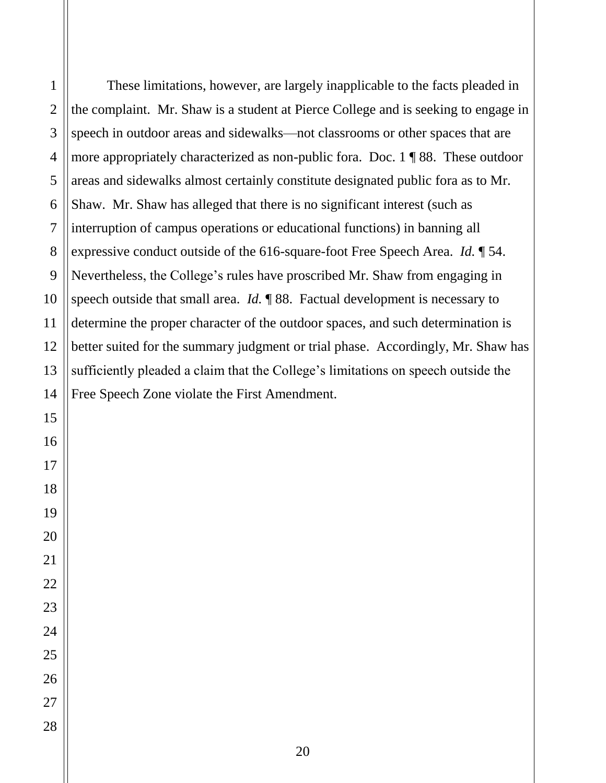These limitations, however, are largely inapplicable to the facts pleaded in Shaw. Mr. Shaw has alleged that there is no significant interest (such as expressive conduct outside of the 616-square-foot Free Speech Area. *Id.* ¶ 54. Nevertheless, the College's rules have proscribed Mr. Shaw from engaging in speech outside that small area. *Id.* ¶ 88. Factual development is necessary to determine the proper character of the outdoor spaces, and such determination is the complaint. Mr. Shaw is a student at Pierce College and is seeking to engage in speech in outdoor areas and sidewalks—not classrooms or other spaces that are more appropriately characterized as non-public fora. Doc. 1 ¶ 88. These outdoor areas and sidewalks almost certainly constitute designated public fora as to Mr. interruption of campus operations or educational functions) in banning all better suited for the summary judgment or trial phase. Accordingly, Mr. Shaw has sufficiently pleaded a claim that the College's limitations on speech outside the Free Speech Zone violate the First Amendment.